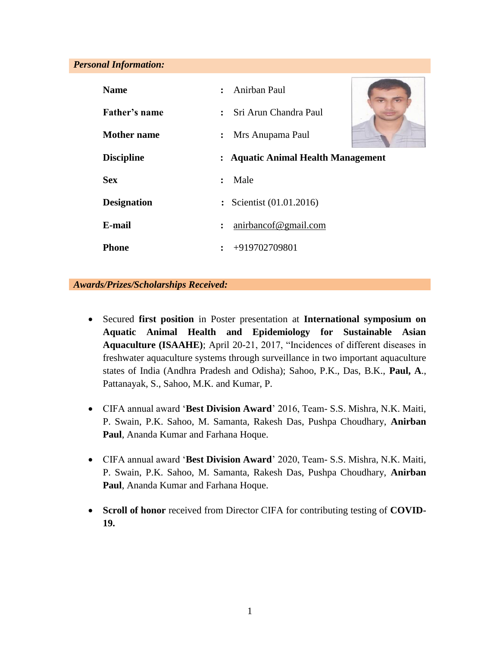#### *Personal Information:*

| <b>Name</b>        | Anirban Paul<br>$\ddot{\cdot}$          |
|--------------------|-----------------------------------------|
| Father's name      | Sri Arun Chandra Paul<br>$\ddot{\cdot}$ |
| <b>Mother name</b> | Mrs Anupama Paul<br>$\ddot{\cdot}$      |
| <b>Discipline</b>  | : Aquatic Animal Health Management      |
| <b>Sex</b>         | Male<br>$\ddot{\phantom{a}}$            |
| <b>Designation</b> | : Scientist (01.01.2016)                |
| E-mail             | anirbancof@gmail.com<br>$\ddot{\cdot}$  |
| Phone              | $\div$ +919702709801                    |

## *Awards/Prizes/Scholarships Received:*

- Secured **first position** in Poster presentation at **International symposium on Aquatic Animal Health and Epidemiology for Sustainable Asian Aquaculture (ISAAHE)**; April 20-21, 2017, "Incidences of different diseases in freshwater aquaculture systems through surveillance in two important aquaculture states of India (Andhra Pradesh and Odisha); Sahoo, P.K., Das, B.K., **Paul, A**., Pattanayak, S., Sahoo, M.K. and Kumar, P.
- CIFA annual award '**Best Division Award**' 2016, Team- S.S. Mishra, N.K. Maiti, P. Swain, P.K. Sahoo, M. Samanta, Rakesh Das, Pushpa Choudhary, **Anirban Paul**, Ananda Kumar and Farhana Hoque.
- CIFA annual award '**Best Division Award**' 2020, Team- S.S. Mishra, N.K. Maiti, P. Swain, P.K. Sahoo, M. Samanta, Rakesh Das, Pushpa Choudhary, **Anirban Paul**, Ananda Kumar and Farhana Hoque.
- **Scroll of honor** received from Director CIFA for contributing testing of **COVID-19.**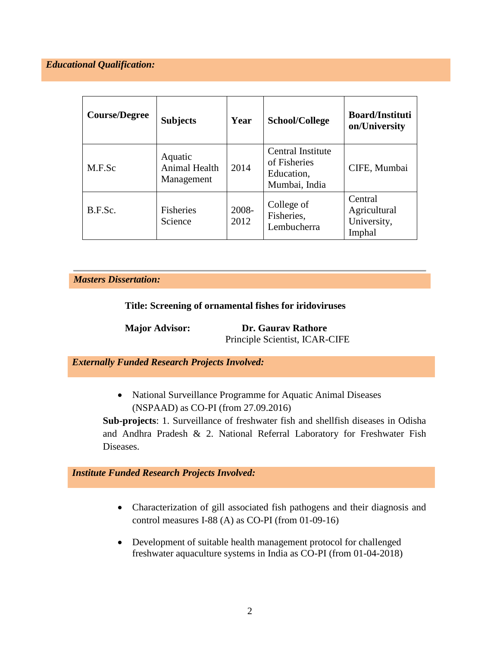# *Educational Qualification:*

| <b>Course/Degree</b> | <b>Subjects</b>                        | Year          | School/College                                                   | <b>Board/Instituti</b><br>on/University          |
|----------------------|----------------------------------------|---------------|------------------------------------------------------------------|--------------------------------------------------|
| M.F.Sc               | Aquatic<br>Animal Health<br>Management | 2014          | Central Institute<br>of Fisheries<br>Education,<br>Mumbai, India | CIFE, Mumbai                                     |
| B.F.Sc.              | <b>Fisheries</b><br>Science            | 2008-<br>2012 | College of<br>Fisheries,<br>Lembucherra                          | Central<br>Agricultural<br>University,<br>Imphal |

*Masters Dissertation:*

**Title: Screening of ornamental fishes for iridoviruses**

**Major Advisor: Dr. Gaurav Rathore** Principle Scientist, ICAR-CIFE

*Externally Funded Research Projects Involved:*

• National Surveillance Programme for Aquatic Animal Diseases (NSPAAD) as CO-PI (from 27.09.2016)

**Sub-projects**: 1. Surveillance of freshwater fish and shellfish diseases in Odisha and Andhra Pradesh & 2. National Referral Laboratory for Freshwater Fish Diseases.

# *Institute Funded Research Projects Involved:*

- Characterization of gill associated fish pathogens and their diagnosis and control measures I-88 (A) as CO-PI (from 01-09-16)
- Development of suitable health management protocol for challenged freshwater aquaculture systems in India as CO-PI (from 01-04-2018)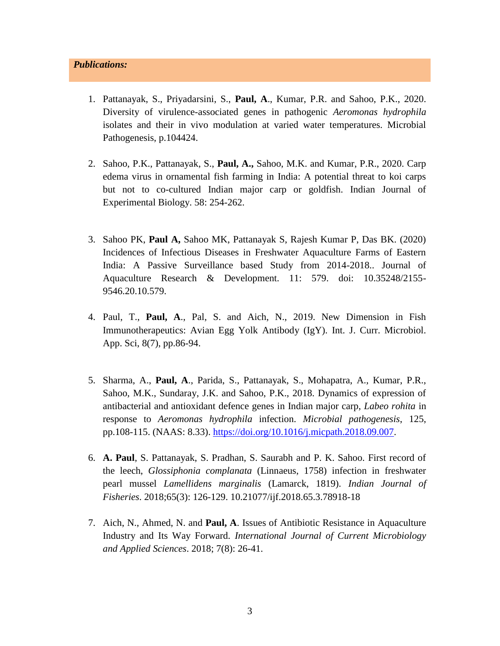- 1. Pattanayak, S., Priyadarsini, S., **Paul, A**., Kumar, P.R. and Sahoo, P.K., 2020. Diversity of virulence-associated genes in pathogenic *Aeromonas hydrophila* isolates and their in vivo modulation at varied water temperatures. Microbial Pathogenesis, p.104424.
- 2. Sahoo, P.K., Pattanayak, S., **Paul, A.,** Sahoo, M.K. and Kumar, P.R., 2020. Carp edema virus in ornamental fish farming in India: A potential threat to koi carps but not to co-cultured Indian major carp or goldfish. Indian Journal of Experimental Biology. 58: 254-262.
- 3. Sahoo PK, **Paul A,** Sahoo MK, Pattanayak S, Rajesh Kumar P, Das BK. (2020) Incidences of Infectious Diseases in Freshwater Aquaculture Farms of Eastern India: A Passive Surveillance based Study from 2014-2018.. Journal of Aquaculture Research & Development. 11: 579. doi: 10.35248/2155- 9546.20.10.579.
- 4. Paul, T., **Paul, A**., Pal, S. and Aich, N., 2019. New Dimension in Fish Immunotherapeutics: Avian Egg Yolk Antibody (IgY). Int. J. Curr. Microbiol. App. Sci, 8(7), pp.86-94.
- 5. Sharma, A., **Paul, A**., Parida, S., Pattanayak, S., Mohapatra, A., Kumar, P.R., Sahoo, M.K., Sundaray, J.K. and Sahoo, P.K., 2018. Dynamics of expression of antibacterial and antioxidant defence genes in Indian major carp, *Labeo rohita* in response to *Aeromonas hydrophila* infection. *Microbial pathogenesis*, 125, pp.108-115. (NAAS: 8.33). [https://doi.org/10.1016/j.micpath.2018.09.007.](https://doi.org/10.1016/j.micpath.2018.09.007)
- 6. **A. Paul**, S. Pattanayak, S. Pradhan, S. Saurabh and P. K. Sahoo. First record of the leech, *Glossiphonia complanata* (Linnaeus, 1758) infection in freshwater pearl mussel *Lamellidens marginalis* (Lamarck, 1819). *Indian Journal of Fisheries*. 2018;65(3): 126-129. 10.21077/ijf.2018.65.3.78918-18
- 7. Aich, N., Ahmed, N. and **Paul, A**. Issues of Antibiotic Resistance in Aquaculture Industry and Its Way Forward. *International Journal of Current Microbiology and Applied Sciences*. 2018; 7(8): 26-41.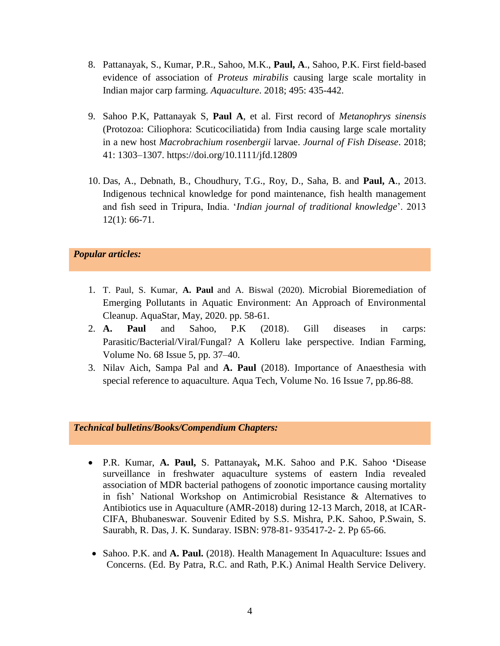- 8. Pattanayak, S., Kumar, P.R., Sahoo, M.K., **Paul, A**., Sahoo, P.K. First field-based evidence of association of *Proteus mirabilis* causing large scale mortality in Indian major carp farming. *Aquaculture*. 2018; 495: 435-442.
- 9. Sahoo P.K, Pattanayak S, **Paul A**, et al. First record of *Metanophrys sinensis* (Protozoa: Ciliophora: Scuticociliatida) from India causing large scale mortality in a new host *Macrobrachium rosenbergii* larvae. *Journal of Fish Disease*. 2018; 41: 1303–1307. https://doi.org/10.1111/jfd.12809
- 10. Das, A., Debnath, B., Choudhury, T.G., Roy, D., Saha, B. and **Paul, A**., 2013. Indigenous technical knowledge for pond maintenance, fish health management and fish seed in Tripura, India. '*Indian journal of traditional knowledge*'. 2013 12(1): 66-71.

## *Popular articles:*

- 1. T. Paul, S. Kumar, **A. Paul** and A. Biswal (2020). Microbial Bioremediation of Emerging Pollutants in Aquatic Environment: An Approach of Environmental Cleanup. AquaStar, May, 2020. pp. 58-61.
- 2. **A. Paul** and Sahoo, P.K (2018). Gill diseases in carps: Parasitic/Bacterial/Viral/Fungal? A Kolleru lake perspective. Indian Farming, Volume No. 68 Issue 5, pp. 37–40.
- 3. Nilav Aich, Sampa Pal and **A. Paul** (2018). Importance of Anaesthesia with special reference to aquaculture. Aqua Tech, Volume No. 16 Issue 7, pp.86-88.

#### *Technical bulletins/Books/Compendium Chapters:*

- P.R. Kumar, **A. Paul,** S. Pattanayak**,** M.K. Sahoo and P.K. Sahoo **'**Disease surveillance in freshwater aquaculture systems of eastern India revealed association of MDR bacterial pathogens of zoonotic importance causing mortality in fish' National Workshop on Antimicrobial Resistance & Alternatives to Antibiotics use in Aquaculture (AMR-2018) during 12-13 March, 2018, at ICAR-CIFA, Bhubaneswar. Souvenir Edited by S.S. Mishra, P.K. Sahoo, P.Swain, S. Saurabh, R. Das, J. K. Sundaray. ISBN: 978-81- 935417-2- 2. Pp 65-66.
- Sahoo. P.K. and **A. Paul.** (2018). Health Management In Aquaculture: Issues and Concerns. (Ed. By Patra, R.C. and Rath, P.K.) Animal Health Service Delivery.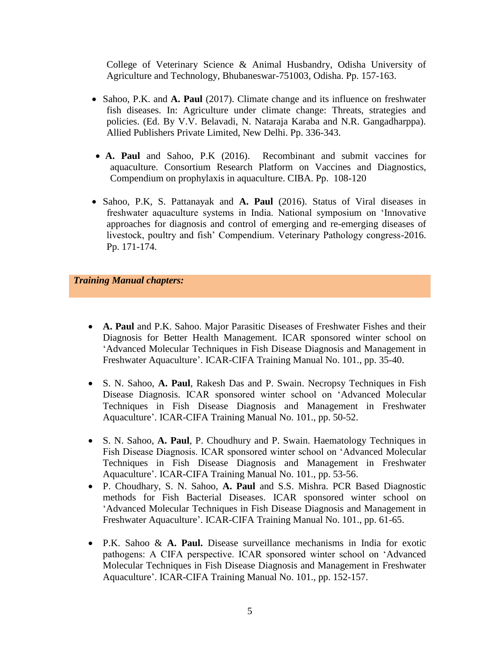College of Veterinary Science & Animal Husbandry, Odisha University of Agriculture and Technology, Bhubaneswar-751003, Odisha. Pp. 157-163.

- Sahoo, P.K. and **A. Paul** (2017). Climate change and its influence on freshwater fish diseases. In: Agriculture under climate change: Threats, strategies and policies. (Ed. By V.V. Belavadi, N. Nataraja Karaba and N.R. Gangadharppa). Allied Publishers Private Limited, New Delhi. Pp. 336-343.
- **A. Paul** and Sahoo, P.K (2016). Recombinant and submit vaccines for aquaculture. Consortium Research Platform on Vaccines and Diagnostics, Compendium on prophylaxis in aquaculture. CIBA. Pp. 108-120
- Sahoo, P.K, S. Pattanayak and **A. Paul** (2016). Status of Viral diseases in freshwater aquaculture systems in India. National symposium on 'Innovative approaches for diagnosis and control of emerging and re-emerging diseases of livestock, poultry and fish' Compendium. Veterinary Pathology congress-2016. Pp. 171-174.

*Training Manual chapters:*

- **A. Paul** and P.K. Sahoo. Major Parasitic Diseases of Freshwater Fishes and their Diagnosis for Better Health Management. ICAR sponsored winter school on 'Advanced Molecular Techniques in Fish Disease Diagnosis and Management in Freshwater Aquaculture'. ICAR-CIFA Training Manual No. 101., pp. 35-40.
- S. N. Sahoo, **A. Paul**, Rakesh Das and P. Swain. Necropsy Techniques in Fish Disease Diagnosis. ICAR sponsored winter school on 'Advanced Molecular Techniques in Fish Disease Diagnosis and Management in Freshwater Aquaculture'. ICAR-CIFA Training Manual No. 101., pp. 50-52.
- S. N. Sahoo, **A. Paul**, P. Choudhury and P. Swain. Haematology Techniques in Fish Disease Diagnosis. ICAR sponsored winter school on 'Advanced Molecular Techniques in Fish Disease Diagnosis and Management in Freshwater Aquaculture'. ICAR-CIFA Training Manual No. 101., pp. 53-56.
- P. Choudhary, S. N. Sahoo, **A. Paul** and S.S. Mishra. PCR Based Diagnostic methods for Fish Bacterial Diseases. ICAR sponsored winter school on 'Advanced Molecular Techniques in Fish Disease Diagnosis and Management in Freshwater Aquaculture'. ICAR-CIFA Training Manual No. 101., pp. 61-65.
- P.K. Sahoo & **A. Paul.** Disease surveillance mechanisms in India for exotic pathogens: A CIFA perspective. ICAR sponsored winter school on 'Advanced Molecular Techniques in Fish Disease Diagnosis and Management in Freshwater Aquaculture'. ICAR-CIFA Training Manual No. 101., pp. 152-157.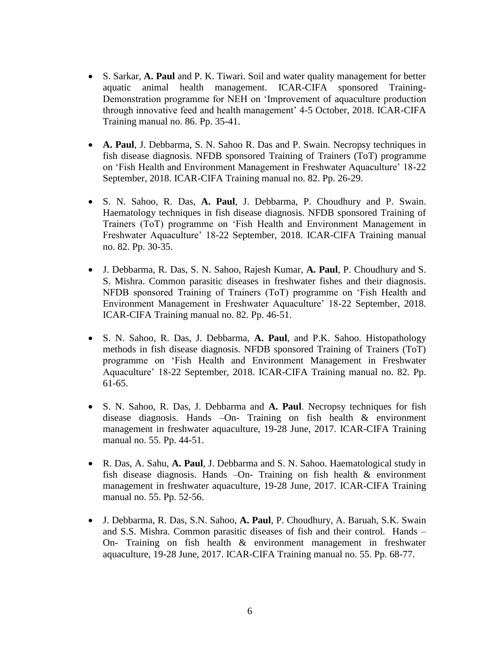- S. Sarkar, **A. Paul** and P. K. Tiwari. Soil and water quality management for better aquatic animal health management. ICAR-CIFA sponsored Training-Demonstration programme for NEH on 'Improvement of aquaculture production through innovative feed and health management' 4-5 October, 2018. ICAR-CIFA Training manual no. 86. Pp. 35-41.
- **A. Paul**, J. Debbarma, S. N. Sahoo R. Das and P. Swain. Necropsy techniques in fish disease diagnosis. NFDB sponsored Training of Trainers (ToT) programme on 'Fish Health and Environment Management in Freshwater Aquaculture' 18-22 September, 2018. ICAR-CIFA Training manual no. 82. Pp. 26-29.
- S. N. Sahoo, R. Das, **A. Paul**, J. Debbarma, P. Choudhury and P. Swain. Haematology techniques in fish disease diagnosis. NFDB sponsored Training of Trainers (ToT) programme on 'Fish Health and Environment Management in Freshwater Aquaculture' 18-22 September, 2018. ICAR-CIFA Training manual no. 82. Pp. 30-35.
- J. Debbarma, R. Das, S. N. Sahoo, Rajesh Kumar, **A. Paul**, P. Choudhury and S. S. Mishra. Common parasitic diseases in freshwater fishes and their diagnosis. NFDB sponsored Training of Trainers (ToT) programme on 'Fish Health and Environment Management in Freshwater Aquaculture' 18-22 September, 2018. ICAR-CIFA Training manual no. 82. Pp. 46-51.
- S. N. Sahoo, R. Das, J. Debbarma, **A. Paul**, and P.K. Sahoo. Histopathology methods in fish disease diagnosis. NFDB sponsored Training of Trainers (ToT) programme on 'Fish Health and Environment Management in Freshwater Aquaculture' 18-22 September, 2018. ICAR-CIFA Training manual no. 82. Pp. 61-65.
- S. N. Sahoo, R. Das, J. Debbarma and **A. Paul**. Necropsy techniques for fish disease diagnosis. Hands –On- Training on fish health & environment management in freshwater aquaculture, 19-28 June, 2017. ICAR-CIFA Training manual no. 55. Pp. 44-51.
- R. Das, A. Sahu, **A. Paul**, J. Debbarma and S. N. Sahoo. Haematological study in fish disease diagnosis. Hands –On- Training on fish health & environment management in freshwater aquaculture, 19-28 June, 2017. ICAR-CIFA Training manual no. 55. Pp. 52-56.
- J. Debbarma, R. Das, S.N. Sahoo, **A. Paul**, P. Choudhury, A. Baruah, S.K. Swain and S.S. Mishra. Common parasitic diseases of fish and their control. Hands – On- Training on fish health & environment management in freshwater aquaculture, 19-28 June, 2017. ICAR-CIFA Training manual no. 55. Pp. 68-77.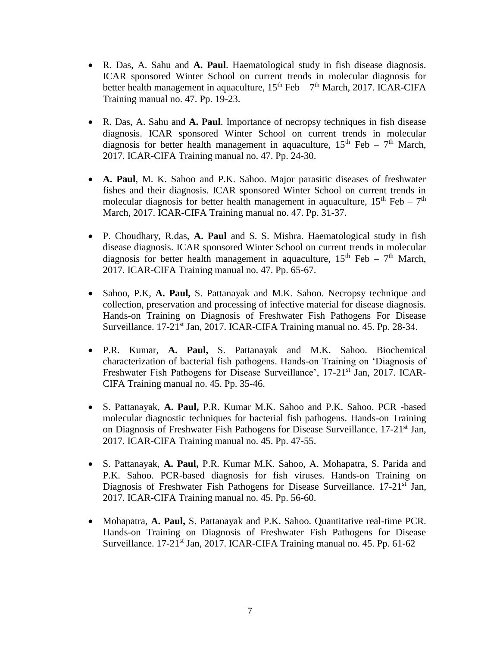- R. Das, A. Sahu and **A. Paul**. Haematological study in fish disease diagnosis. ICAR sponsored Winter School on current trends in molecular diagnosis for better health management in aquaculture,  $15^{th}$  Feb –  $7^{th}$  March, 2017. ICAR-CIFA Training manual no. 47. Pp. 19-23.
- R. Das, A. Sahu and **A. Paul**. Importance of necropsy techniques in fish disease diagnosis. ICAR sponsored Winter School on current trends in molecular diagnosis for better health management in aquaculture,  $15<sup>th</sup>$  Feb –  $7<sup>th</sup>$  March, 2017. ICAR-CIFA Training manual no. 47. Pp. 24-30.
- **A. Paul**, M. K. Sahoo and P.K. Sahoo. Major parasitic diseases of freshwater fishes and their diagnosis. ICAR sponsored Winter School on current trends in molecular diagnosis for better health management in aquaculture,  $15<sup>th</sup>$  Feb –  $7<sup>th</sup>$ March, 2017. ICAR-CIFA Training manual no. 47. Pp. 31-37.
- P. Choudhary, R.das, **A. Paul** and S. S. Mishra. Haematological study in fish disease diagnosis. ICAR sponsored Winter School on current trends in molecular diagnosis for better health management in aquaculture,  $15<sup>th</sup>$  Feb –  $7<sup>th</sup>$  March, 2017. ICAR-CIFA Training manual no. 47. Pp. 65-67.
- Sahoo, P.K, **A. Paul,** S. Pattanayak and M.K. Sahoo. Necropsy technique and collection, preservation and processing of infective material for disease diagnosis. Hands-on Training on Diagnosis of Freshwater Fish Pathogens For Disease Surveillance. 17-21<sup>st</sup> Jan, 2017. ICAR-CIFA Training manual no. 45. Pp. 28-34.
- P.R. Kumar, **A. Paul,** S. Pattanayak and M.K. Sahoo. Biochemical characterization of bacterial fish pathogens. Hands-on Training on 'Diagnosis of Freshwater Fish Pathogens for Disease Surveillance', 17-21<sup>st</sup> Jan, 2017. ICAR-CIFA Training manual no. 45. Pp. 35-46.
- S. Pattanayak, **A. Paul,** P.R. Kumar M.K. Sahoo and P.K. Sahoo. PCR -based molecular diagnostic techniques for bacterial fish pathogens. Hands-on Training on Diagnosis of Freshwater Fish Pathogens for Disease Surveillance. 17-21<sup>st</sup> Jan, 2017. ICAR-CIFA Training manual no. 45. Pp. 47-55.
- S. Pattanayak, **A. Paul,** P.R. Kumar M.K. Sahoo, A. Mohapatra, S. Parida and P.K. Sahoo. PCR-based diagnosis for fish viruses. Hands-on Training on Diagnosis of Freshwater Fish Pathogens for Disease Surveillance. 17-21<sup>st</sup> Jan, 2017. ICAR-CIFA Training manual no. 45. Pp. 56-60.
- Mohapatra, **A. Paul,** S. Pattanayak and P.K. Sahoo. Quantitative real-time PCR. Hands-on Training on Diagnosis of Freshwater Fish Pathogens for Disease Surveillance. 17-21<sup>st</sup> Jan, 2017. ICAR-CIFA Training manual no. 45. Pp. 61-62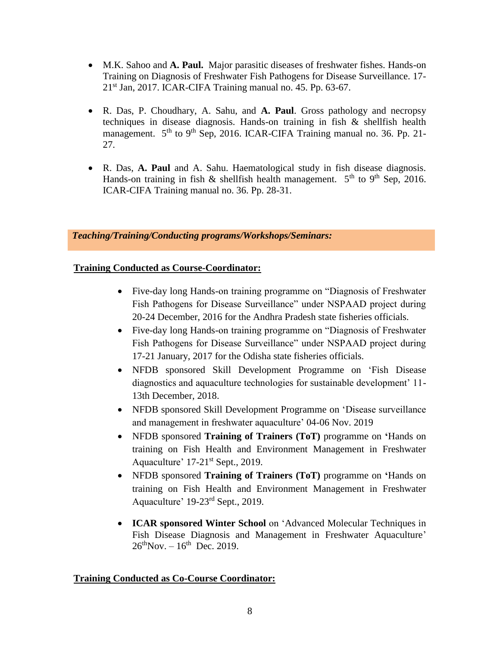- M.K. Sahoo and **A. Paul.** Major parasitic diseases of freshwater fishes. Hands-on Training on Diagnosis of Freshwater Fish Pathogens for Disease Surveillance. 17- 21st Jan, 2017. ICAR-CIFA Training manual no. 45. Pp. 63-67.
- R. Das, P. Choudhary, A. Sahu, and **A. Paul**. Gross pathology and necropsy techniques in disease diagnosis. Hands-on training in fish  $\&$  shellfish health management. 5<sup>th</sup> to 9<sup>th</sup> Sep, 2016. ICAR-CIFA Training manual no. 36. Pp. 21-27.
- R. Das, **A. Paul** and A. Sahu. Haematological study in fish disease diagnosis. Hands-on training in fish  $\&$  shellfish health management.  $5<sup>th</sup>$  to  $9<sup>th</sup>$  Sep, 2016. ICAR-CIFA Training manual no. 36. Pp. 28-31.

*Teaching/Training/Conducting programs/Workshops/Seminars:*

# **Training Conducted as Course-Coordinator:**

- Five-day long Hands-on training programme on "Diagnosis of Freshwater Fish Pathogens for Disease Surveillance" under NSPAAD project during 20-24 December, 2016 for the Andhra Pradesh state fisheries officials.
- Five-day long Hands-on training programme on "Diagnosis of Freshwater Fish Pathogens for Disease Surveillance" under NSPAAD project during 17-21 January, 2017 for the Odisha state fisheries officials.
- NFDB sponsored Skill Development Programme on 'Fish Disease diagnostics and aquaculture technologies for sustainable development' 11- 13th December, 2018.
- NFDB sponsored Skill Development Programme on 'Disease surveillance and management in freshwater aquaculture' 04-06 Nov. 2019
- NFDB sponsored **Training of Trainers (ToT)** programme on **'**Hands on training on Fish Health and Environment Management in Freshwater Aquaculture' 17-21st Sept., 2019.
- NFDB sponsored **Training of Trainers (ToT)** programme on **'**Hands on training on Fish Health and Environment Management in Freshwater Aquaculture' 19-23rd Sept., 2019.
- **ICAR sponsored Winter School** on 'Advanced Molecular Techniques in Fish Disease Diagnosis and Management in Freshwater Aquaculture'  $26^{th}$ Nov. –  $16^{th}$  Dec. 2019.

# **Training Conducted as Co-Course Coordinator:**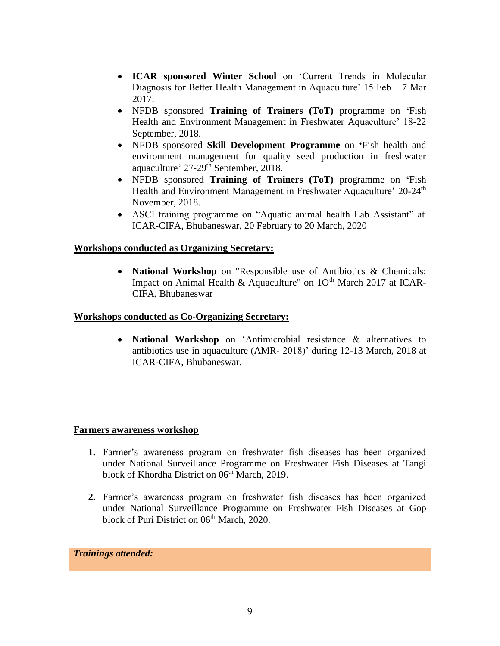- **ICAR sponsored Winter School** on 'Current Trends in Molecular Diagnosis for Better Health Management in Aquaculture' 15 Feb – 7 Mar 2017.
- NFDB sponsored **Training of Trainers (ToT)** programme on **'**Fish Health and Environment Management in Freshwater Aquaculture' 18-22 September, 2018.
- NFDB sponsored **Skill Development Programme** on **'**Fish health and environment management for quality seed production in freshwater aquaculture' 27-29<sup>th</sup> September, 2018.
- NFDB sponsored **Training of Trainers (ToT)** programme on **'**Fish Health and Environment Management in Freshwater Aquaculture' 20-24<sup>th</sup> November, 2018.
- ASCI training programme on "Aquatic animal health Lab Assistant" at ICAR-CIFA, Bhubaneswar, 20 February to 20 March, 2020

# **Workshops conducted as Organizing Secretary:**

 **National Workshop** on "Responsible use of Antibiotics & Chemicals: Impact on Animal Health & Aquaculture" on  $10<sup>th</sup>$  March 2017 at ICAR-CIFA, Bhubaneswar

## **Workshops conducted as Co-Organizing Secretary:**

 **National Workshop** on 'Antimicrobial resistance & alternatives to antibiotics use in aquaculture (AMR- 2018)' during 12-13 March, 2018 at ICAR-CIFA, Bhubaneswar.

## **Farmers awareness workshop**

- **1.** Farmer's awareness program on freshwater fish diseases has been organized under National Surveillance Programme on Freshwater Fish Diseases at Tangi block of Khordha District on 06<sup>th</sup> March, 2019.
- **2.** Farmer's awareness program on freshwater fish diseases has been organized under National Surveillance Programme on Freshwater Fish Diseases at Gop block of Puri District on 06<sup>th</sup> March, 2020.

*Trainings attended:*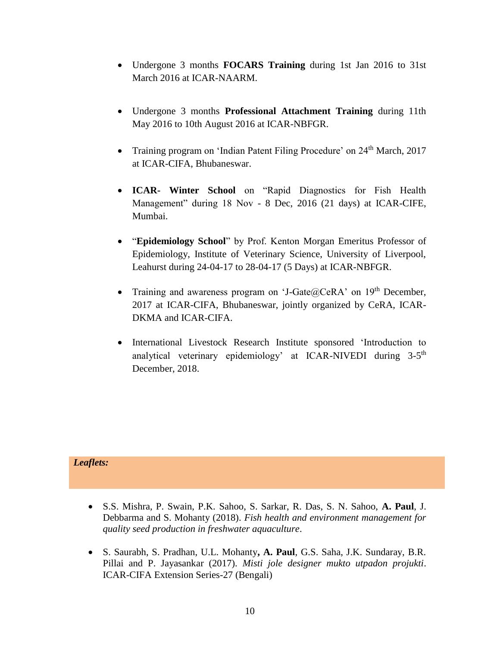- Undergone 3 months **FOCARS Training** during 1st Jan 2016 to 31st March 2016 at ICAR-NAARM.
- Undergone 3 months **Professional Attachment Training** during 11th May 2016 to 10th August 2016 at ICAR-NBFGR.
- Training program on 'Indian Patent Filing Procedure' on 24<sup>th</sup> March, 2017 at ICAR-CIFA, Bhubaneswar.
- **ICAR- Winter School** on "Rapid Diagnostics for Fish Health Management" during 18 Nov - 8 Dec, 2016 (21 days) at ICAR-CIFE, Mumbai.
- "**Epidemiology School**" by Prof. Kenton Morgan Emeritus Professor of Epidemiology, Institute of Veterinary Science, University of Liverpool, Leahurst during 24-04-17 to 28-04-17 (5 Days) at ICAR-NBFGR.
- Training and awareness program on 'J-Gate $@CeRA$ ' on 19<sup>th</sup> December, 2017 at ICAR-CIFA, Bhubaneswar, jointly organized by CeRA, ICAR-DKMA and ICAR-CIFA.
- International Livestock Research Institute sponsored 'Introduction to analytical veterinary epidemiology' at ICAR-NIVEDI during 3-5<sup>th</sup> December, 2018.

# *Leaflets:*

- S.S. Mishra, P. Swain, P.K. Sahoo, S. Sarkar, R. Das, S. N. Sahoo, **A. Paul**, J. Debbarma and S. Mohanty (2018). *Fish health and environment management for quality seed production in freshwater aquaculture*.
- S. Saurabh, S. Pradhan, U.L. Mohanty**, A. Paul**, G.S. Saha, J.K. Sundaray, B.R. Pillai and P. Jayasankar (2017). *Misti jole designer mukto utpadon projukti*. ICAR-CIFA Extension Series-27 (Bengali)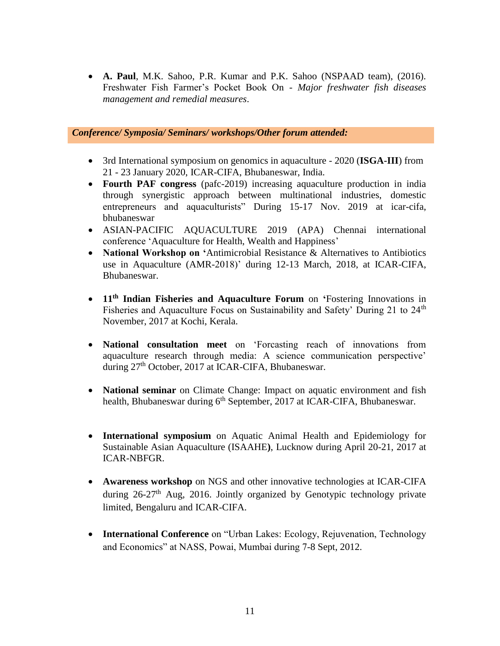**A. Paul**, M.K. Sahoo, P.R. Kumar and P.K. Sahoo (NSPAAD team), (2016). Freshwater Fish Farmer's Pocket Book On - *Major freshwater fish diseases management and remedial measures*.

# *Conference/ Symposia/ Seminars/ workshops/Other forum attended:*

- 3rd International symposium on genomics in aquaculture 2020 (**ISGA-III**) from 21 - 23 January 2020, ICAR-CIFA, Bhubaneswar, India.
- **Fourth PAF congress** (pafc-2019) increasing aquaculture production in india through synergistic approach between multinational industries, domestic entrepreneurs and aquaculturists" During 15-17 Nov. 2019 at icar-cifa, bhubaneswar
- ASIAN-PACIFIC AQUACULTURE 2019 (APA) Chennai international conference 'Aquaculture for Health, Wealth and Happiness'
- **National Workshop on '**Antimicrobial Resistance & Alternatives to Antibiotics use in Aquaculture (AMR-2018)' during 12-13 March, 2018, at ICAR-CIFA, Bhubaneswar.
- **11th Indian Fisheries and Aquaculture Forum** on **'**Fostering Innovations in Fisheries and Aquaculture Focus on Sustainability and Safety' During 21 to 24<sup>th</sup> November, 2017 at Kochi, Kerala.
- **National consultation meet** on 'Forcasting reach of innovations from aquaculture research through media: A science communication perspective' during 27<sup>th</sup> October, 2017 at ICAR-CIFA, Bhubaneswar.
- **National seminar** on Climate Change: Impact on aquatic environment and fish health, Bhubaneswar during 6<sup>th</sup> September, 2017 at ICAR-CIFA, Bhubaneswar.
- **International symposium** on Aquatic Animal Health and Epidemiology for Sustainable Asian Aquaculture (ISAAHE**)**, Lucknow during April 20-21, 2017 at ICAR-NBFGR.
- **Awareness workshop** on NGS and other innovative technologies at ICAR-CIFA during  $26-27<sup>th</sup>$  Aug, 2016. Jointly organized by Genotypic technology private limited, Bengaluru and ICAR-CIFA.
- **International Conference** on "Urban Lakes: Ecology, Rejuvenation, Technology and Economics" at NASS, Powai, Mumbai during 7-8 Sept, 2012.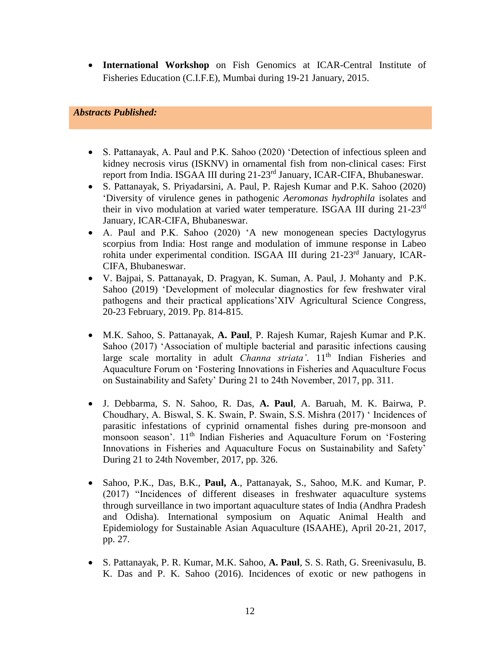**International Workshop** on Fish Genomics at ICAR-Central Institute of Fisheries Education (C.I.F.E), Mumbai during 19-21 January, 2015.

# *Abstracts Published:*

- S. Pattanayak, A. Paul and P.K. Sahoo (2020) 'Detection of infectious spleen and kidney necrosis virus (ISKNV) in ornamental fish from non-clinical cases: First report from India. ISGAA III during 21-23<sup>rd</sup> January, ICAR-CIFA, Bhubaneswar.
- S. Pattanayak, S. Priyadarsini, A. Paul, P. Rajesh Kumar and P.K. Sahoo (2020) 'Diversity of virulence genes in pathogenic *Aeromonas hydrophila* isolates and their in vivo modulation at varied water temperature. ISGAA III during 21-23rd January, ICAR-CIFA, Bhubaneswar.
- A. Paul and P.K. Sahoo (2020) 'A new monogenean species Dactylogyrus scorpius from India: Host range and modulation of immune response in Labeo rohita under experimental condition. ISGAA III during 21-23rd January, ICAR-CIFA, Bhubaneswar.
- V. Bajpai, S. Pattanayak, D. Pragyan, K. Suman, A. Paul, J. Mohanty and P.K. Sahoo (2019) 'Development of molecular diagnostics for few freshwater viral pathogens and their practical applications'XIV Agricultural Science Congress, 20-23 February, 2019. Pp. 814-815.
- M.K. Sahoo, S. Pattanayak, **A. Paul**, P. Rajesh Kumar, Rajesh Kumar and P.K. Sahoo (2017) 'Association of multiple bacterial and parasitic infections causing large scale mortality in adult *Channa striata'*. 11<sup>th</sup> Indian Fisheries and Aquaculture Forum on 'Fostering Innovations in Fisheries and Aquaculture Focus on Sustainability and Safety' During 21 to 24th November, 2017, pp. 311.
- J. Debbarma, S. N. Sahoo, R. Das, **A. Paul**, A. Baruah, M. K. Bairwa, P. Choudhary, A. Biswal, S. K. Swain, P. Swain, S.S. Mishra (2017) ' Incidences of parasitic infestations of cyprinid ornamental fishes during pre-monsoon and monsoon season'. 11<sup>th</sup> Indian Fisheries and Aquaculture Forum on 'Fostering Innovations in Fisheries and Aquaculture Focus on Sustainability and Safety' During 21 to 24th November, 2017, pp. 326.
- Sahoo, P.K., Das, B.K., **Paul, A**., Pattanayak, S., Sahoo, M.K. and Kumar, P. (2017) "Incidences of different diseases in freshwater aquaculture systems through surveillance in two important aquaculture states of India (Andhra Pradesh and Odisha). International symposium on Aquatic Animal Health and Epidemiology for Sustainable Asian Aquaculture (ISAAHE), April 20-21, 2017, pp. 27.
- S. Pattanayak, P. R. Kumar, M.K. Sahoo, **A. Paul**, S. S. Rath, G. Sreenivasulu, B. K. Das and P. K. Sahoo (2016). Incidences of exotic or new pathogens in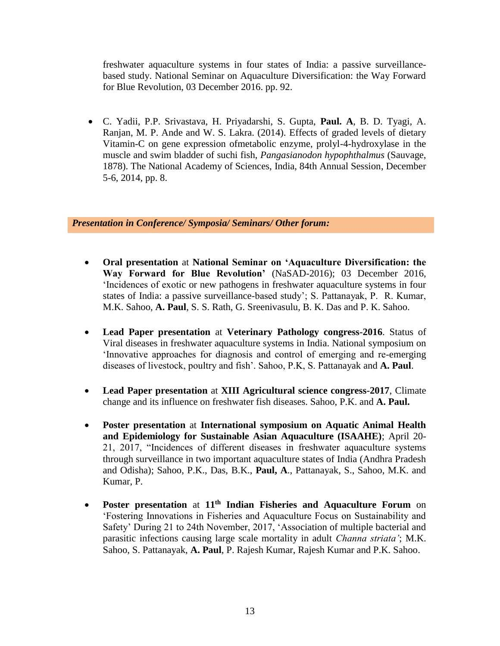freshwater aquaculture systems in four states of India: a passive surveillancebased study. National Seminar on Aquaculture Diversification: the Way Forward for Blue Revolution, 03 December 2016. pp. 92.

 C. Yadii, P.P. Srivastava, H. Priyadarshi, S. Gupta, **Paul. A**, B. D. Tyagi, A. Ranjan, M. P. Ande and W. S. Lakra. (2014). Effects of graded levels of dietary Vitamin-C on gene expression ofmetabolic enzyme, prolyl-4-hydroxylase in the muscle and swim bladder of suchi fish, *Pangasianodon hypophthalmus* (Sauvage, 1878). The National Academy of Sciences, India, 84th Annual Session, December 5-6, 2014, pp. 8.

*Presentation in Conference/ Symposia/ Seminars/ Other forum:*

- **Oral presentation** at **National Seminar on 'Aquaculture Diversification: the Way Forward for Blue Revolution'** (NaSAD-2016); 03 December 2016, 'Incidences of exotic or new pathogens in freshwater aquaculture systems in four states of India: a passive surveillance-based study'; S. Pattanayak, P. R. Kumar, M.K. Sahoo, **A. Paul**, S. S. Rath, G. Sreenivasulu, B. K. Das and P. K. Sahoo.
- **Lead Paper presentation** at **Veterinary Pathology congress-2016**. Status of Viral diseases in freshwater aquaculture systems in India. National symposium on 'Innovative approaches for diagnosis and control of emerging and re-emerging diseases of livestock, poultry and fish'. Sahoo, P.K, S. Pattanayak and **A. Paul**.
- **Lead Paper presentation** at **XIII Agricultural science congress-2017**, Climate change and its influence on freshwater fish diseases. Sahoo, P.K. and **A. Paul.**
- **Poster presentation** at **International symposium on Aquatic Animal Health and Epidemiology for Sustainable Asian Aquaculture (ISAAHE)**; April 20- 21, 2017, "Incidences of different diseases in freshwater aquaculture systems through surveillance in two important aquaculture states of India (Andhra Pradesh and Odisha); Sahoo, P.K., Das, B.K., **Paul, A**., Pattanayak, S., Sahoo, M.K. and Kumar, P.
- **Poster presentation** at **11th Indian Fisheries and Aquaculture Forum** on 'Fostering Innovations in Fisheries and Aquaculture Focus on Sustainability and Safety' During 21 to 24th November, 2017, 'Association of multiple bacterial and parasitic infections causing large scale mortality in adult *Channa striata'*; M.K. Sahoo, S. Pattanayak, **A. Paul**, P. Rajesh Kumar, Rajesh Kumar and P.K. Sahoo.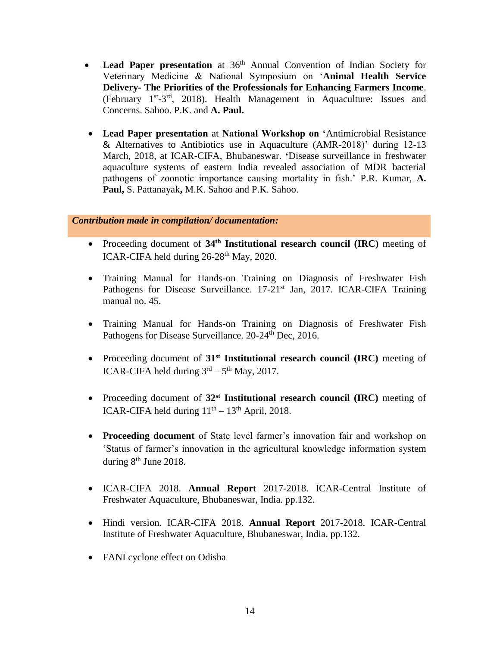- Lead Paper presentation at 36<sup>th</sup> Annual Convention of Indian Society for Veterinary Medicine & National Symposium on '**Animal Health Service Delivery- The Priorities of the Professionals for Enhancing Farmers Income**. (February 1<sup>st</sup>-3<sup>rd</sup>, 2018). Health Management in Aquaculture: Issues and Concerns. Sahoo. P.K. and **A. Paul.**
- **Lead Paper presentation** at **National Workshop on '**Antimicrobial Resistance & Alternatives to Antibiotics use in Aquaculture (AMR-2018)' during 12-13 March, 2018, at ICAR-CIFA, Bhubaneswar. **'**Disease surveillance in freshwater aquaculture systems of eastern India revealed association of MDR bacterial pathogens of zoonotic importance causing mortality in fish.' P.R. Kumar, **A. Paul,** S. Pattanayak**,** M.K. Sahoo and P.K. Sahoo.

# *Contribution made in compilation/ documentation:*

- Proceeding document of 34<sup>th</sup> Institutional research council (IRC) meeting of ICAR-CIFA held during  $26-28$ <sup>th</sup> May, 2020.
- Training Manual for Hands-on Training on Diagnosis of Freshwater Fish Pathogens for Disease Surveillance. 17-21<sup>st</sup> Jan, 2017. ICAR-CIFA Training manual no. 45.
- Training Manual for Hands-on Training on Diagnosis of Freshwater Fish Pathogens for Disease Surveillance. 20-24<sup>th</sup> Dec, 2016.
- Proceeding document of 31<sup>st</sup> Institutional research council (IRC) meeting of ICAR-CIFA held during  $3<sup>rd</sup> - 5<sup>th</sup>$  May, 2017.
- Proceeding document of **32st Institutional research council (IRC)** meeting of ICAR-CIFA held during  $11<sup>th</sup> - 13<sup>th</sup>$  April, 2018.
- **Proceeding document** of State level farmer's innovation fair and workshop on 'Status of farmer's innovation in the agricultural knowledge information system during 8<sup>th</sup> June 2018.
- ICAR-CIFA 2018. **Annual Report** 2017-2018. ICAR-Central Institute of Freshwater Aquaculture, Bhubaneswar, India. pp.132.
- Hindi version. ICAR-CIFA 2018. **Annual Report** 2017-2018. ICAR-Central Institute of Freshwater Aquaculture, Bhubaneswar, India. pp.132.
- FANI cyclone effect on Odisha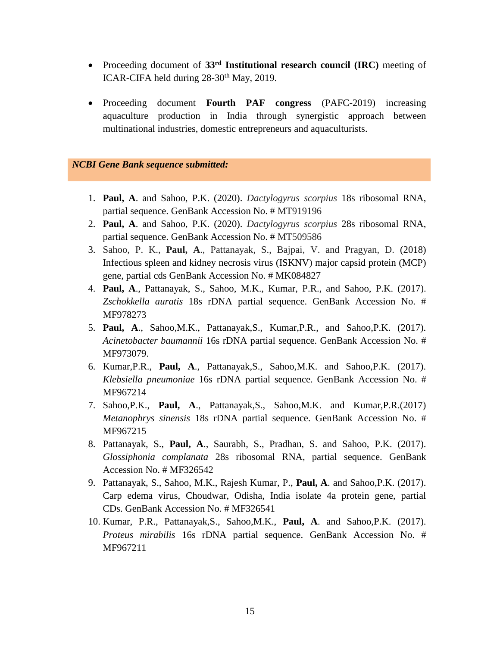- Proceeding document of 33<sup>rd</sup> Institutional research council (IRC) meeting of ICAR-CIFA held during  $28-30$ <sup>th</sup> May, 2019.
- Proceeding document **Fourth PAF congress** (PAFC-2019) increasing aquaculture production in India through synergistic approach between multinational industries, domestic entrepreneurs and aquaculturists.

#### *NCBI Gene Bank sequence submitted:*

- 1. **Paul, A**. and Sahoo, P.K. (2020). *Dactylogyrus scorpius* 18s ribosomal RNA, partial sequence. GenBank Accession No. # MT919196
- 2. **Paul, A**. and Sahoo, P.K. (2020). *Dactylogyrus scorpius* 28s ribosomal RNA, partial sequence. GenBank Accession No. # MT509586
- 3. Sahoo, P. K., **Paul, A**., Pattanayak, S., Bajpai, V. and Pragyan, D. (2018) Infectious spleen and kidney necrosis virus (ISKNV) major capsid protein (MCP) gene, partial cds GenBank Accession No. # MK084827
- 4. **Paul, A**., Pattanayak, S., Sahoo, M.K., Kumar, P.R., and Sahoo, P.K. (2017). *Zschokkella auratis* 18s rDNA partial sequence. GenBank Accession No. # MF978273
- 5. **Paul, A**., Sahoo,M.K., Pattanayak,S., Kumar,P.R., and Sahoo,P.K. (2017). *Acinetobacter baumannii* 16s rDNA partial sequence. GenBank Accession No. # MF973079.
- 6. Kumar,P.R., **Paul, A**., Pattanayak,S., Sahoo,M.K. and Sahoo,P.K. (2017). *Klebsiella pneumoniae* 16s rDNA partial sequence. GenBank Accession No. # MF967214
- 7. Sahoo,P.K., **Paul, A**., Pattanayak,S., Sahoo,M.K. and Kumar,P.R.(2017) *Metanophrys sinensis* 18s rDNA partial sequence. GenBank Accession No. # MF967215
- 8. Pattanayak, S., **Paul, A**., Saurabh, S., Pradhan, S. and Sahoo, P.K. (2017). *Glossiphonia complanata* 28s ribosomal RNA, partial sequence. GenBank Accession No. # MF326542
- 9. Pattanayak, S., Sahoo, M.K., Rajesh Kumar, P., **Paul, A**. and Sahoo,P.K. (2017). Carp edema virus, Choudwar, Odisha, India isolate 4a protein gene, partial CDs. GenBank Accession No. # MF326541
- 10. Kumar, P.R., Pattanayak,S., Sahoo,M.K., **Paul, A**. and Sahoo,P.K. (2017). *Proteus mirabilis* 16s rDNA partial sequence. GenBank Accession No. # MF967211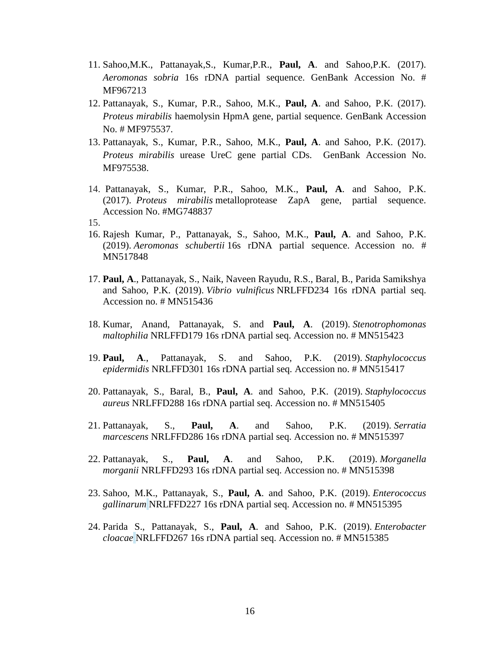- 11. Sahoo,M.K., Pattanayak,S., Kumar,P.R., **Paul, A**. and Sahoo,P.K. (2017). *Aeromonas sobria* 16s rDNA partial sequence. GenBank Accession No. # MF967213
- 12. Pattanayak, S., Kumar, P.R., Sahoo, M.K., **Paul, A**. and Sahoo, P.K. (2017). *Proteus mirabilis* haemolysin HpmA gene, partial sequence. GenBank Accession No. # MF975537.
- 13. Pattanayak, S., Kumar, P.R., Sahoo, M.K., **Paul, A**. and Sahoo, P.K. (2017). *Proteus mirabilis* urease UreC gene partial CDs. GenBank Accession No. MF975538.
- 14. Pattanayak, S., Kumar, P.R., Sahoo, M.K., **Paul, A**. and Sahoo, P.K. (2017). *Proteus mirabilis* metalloprotease ZapA gene, partial sequence. Accession No. #MG748837
- 15.
- 16. Rajesh Kumar, P., Pattanayak, S., Sahoo, M.K., **Paul, A**. and Sahoo, P.K. (2019). *Aeromonas schubertii* 16s rDNA partial sequence. Accession no. # MN517848
- 17. **Paul, A**., Pattanayak, S., Naik, Naveen Rayudu, R.S., Baral, B., Parida Samikshya and Sahoo, P.K. (2019). *Vibrio vulnificus* NRLFFD234 16s rDNA partial seq. Accession no. # MN515436
- 18. Kumar, Anand, Pattanayak, S. and **Paul, A**. (2019). *Stenotrophomonas maltophilia* NRLFFD179 16s rDNA partial seq. Accession no. # MN515423
- 19. **Paul, A**., Pattanayak, S. and Sahoo, P.K. (2019). *Staphylococcus epidermidis* NRLFFD301 16s rDNA partial seq. Accession no. # MN515417
- 20. Pattanayak, S., Baral, B., **Paul, A**. and Sahoo, P.K. (2019). *Staphylococcus aureus* NRLFFD288 16s rDNA partial seq. Accession no. # MN515405
- 21. Pattanayak, S., **Paul, A**. and Sahoo, P.K. (2019). *Serratia marcescens* NRLFFD286 16s rDNA partial seq. Accession no. # MN515397
- 22. Pattanayak, S., **Paul, A**. and Sahoo, P.K. (2019). *Morganella morganii* NRLFFD293 16s rDNA partial seq. Accession no. # MN515398
- 23. Sahoo, M.K., Pattanayak, S., **Paul, A**. and Sahoo, P.K. (2019). *Enterococcus gallinarum* NRLFFD227 16s rDNA partial seq. Accession no. # MN515395
- 24. Parida S., Pattanayak, S., **Paul, A**. and Sahoo, P.K. (2019). *Enterobacter cloacae* NRLFFD267 16s rDNA partial seq. Accession no. # MN515385